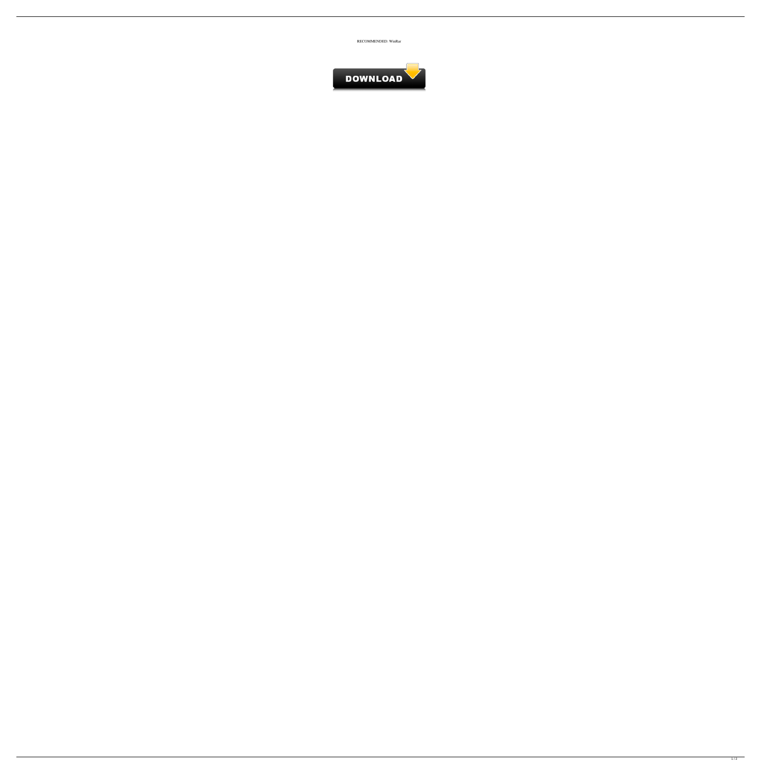

<span id="page-0-0"></span>

 $\frac{1}{2}$